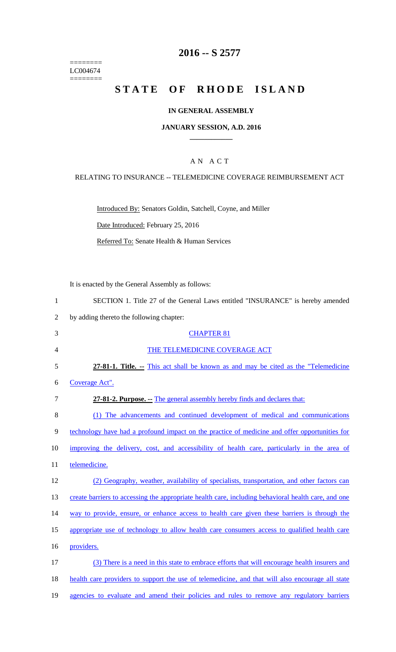======== LC004674  $=$ 

## **2016 -- S 2577**

# **STATE OF RHODE ISLAND**

## **IN GENERAL ASSEMBLY**

#### **JANUARY SESSION, A.D. 2016 \_\_\_\_\_\_\_\_\_\_\_\_**

## A N A C T

RELATING TO INSURANCE -- TELEMEDICINE COVERAGE REIMBURSEMENT ACT

Introduced By: Senators Goldin, Satchell, Coyne, and Miller

Date Introduced: February 25, 2016

Referred To: Senate Health & Human Services

It is enacted by the General Assembly as follows:

|  |  |  |  | SECTION 1. Title 27 of the General Laws entitled "INSURANCE" is hereby amended |  |  |
|--|--|--|--|--------------------------------------------------------------------------------|--|--|
|  |  |  |  |                                                                                |  |  |

2 by adding thereto the following chapter:

| 3  | <b>CHAPTER 81</b>                                                                                   |
|----|-----------------------------------------------------------------------------------------------------|
| 4  | THE TELEMEDICINE COVERAGE ACT                                                                       |
| 5  | 27-81-1. Title. -- This act shall be known as and may be cited as the "Telemedicine"                |
| 6  | Coverage Act".                                                                                      |
| 7  | 27-81-2. Purpose. - The general assembly hereby finds and declares that:                            |
| 8  | (1) The advancements and continued development of medical and communications                        |
| 9  | technology have had a profound impact on the practice of medicine and offer opportunities for       |
| 10 | improving the delivery, cost, and accessibility of health care, particularly in the area of         |
| 11 | telemedicine.                                                                                       |
| 12 | (2) Geography, weather, availability of specialists, transportation, and other factors can          |
| 13 | create barriers to accessing the appropriate health care, including behavioral health care, and one |
| 14 | way to provide, ensure, or enhance access to health care given these barriers is through the        |
| 15 | appropriate use of technology to allow health care consumers access to qualified health care        |
| 16 | providers.                                                                                          |
| 17 | (3) There is a need in this state to embrace efforts that will encourage health insurers and        |
| 18 | health care providers to support the use of telemedicine, and that will also encourage all state    |
|    |                                                                                                     |

19 agencies to evaluate and amend their policies and rules to remove any regulatory barriers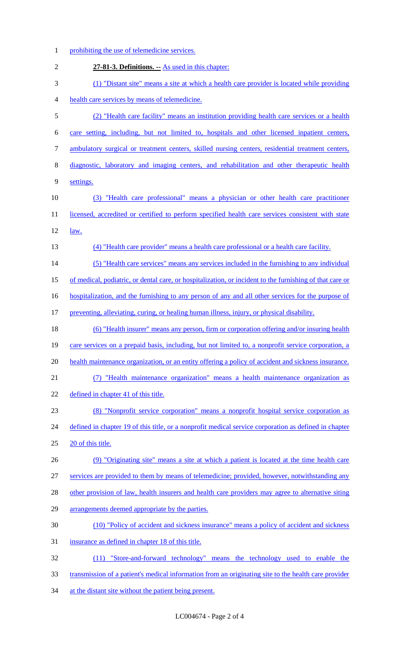1 prohibiting the use of telemedicine services. **27-81-3. Definitions. --** As used in this chapter: (1) "Distant site" means a site at which a health care provider is located while providing health care services by means of telemedicine. (2) "Health care facility" means an institution providing health care services or a health care setting, including, but not limited to, hospitals and other licensed inpatient centers, ambulatory surgical or treatment centers, skilled nursing centers, residential treatment centers, diagnostic, laboratory and imaging centers, and rehabilitation and other therapeutic health settings. (3) "Health care professional" means a physician or other health care practitioner 11 licensed, accredited or certified to perform specified health care services consistent with state 12 <u>law.</u> (4) "Health care provider" means a health care professional or a health care facility. (5) "Health care services" means any services included in the furnishing to any individual of medical, podiatric, or dental care, or hospitalization, or incident to the furnishing of that care or 16 hospitalization, and the furnishing to any person of any and all other services for the purpose of 17 preventing, alleviating, curing, or healing human illness, injury, or physical disability. (6) "Health insurer" means any person, firm or corporation offering and/or insuring health care services on a prepaid basis, including, but not limited to, a nonprofit service corporation, a 20 health maintenance organization, or an entity offering a policy of accident and sickness insurance. (7) "Health maintenance organization" means a health maintenance organization as 22 defined in chapter 41 of this title. (8) "Nonprofit service corporation" means a nonprofit hospital service corporation as 24 defined in chapter 19 of this title, or a nonprofit medical service corporation as defined in chapter 20 of this title. (9) "Originating site" means a site at which a patient is located at the time health care services are provided to them by means of telemedicine; provided, however, notwithstanding any 28 other provision of law, health insurers and health care providers may agree to alternative siting 29 arrangements deemed appropriate by the parties. (10) "Policy of accident and sickness insurance" means a policy of accident and sickness insurance as defined in chapter 18 of this title. (11) "Store-and-forward technology" means the technology used to enable the transmission of a patient's medical information from an originating site to the health care provider 34 at the distant site without the patient being present.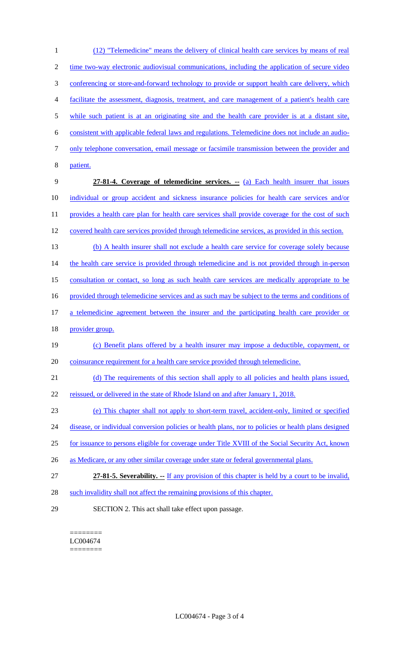(12) "Telemedicine" means the delivery of clinical health care services by means of real time two-way electronic audiovisual communications, including the application of secure video 3 conferencing or store-and-forward technology to provide or support health care delivery, which facilitate the assessment, diagnosis, treatment, and care management of a patient's health care while such patient is at an originating site and the health care provider is at a distant site, consistent with applicable federal laws and regulations. Telemedicine does not include an audio- only telephone conversation, email message or facsimile transmission between the provider and 8 patient. **27-81-4. Coverage of telemedicine services. --** (a) Each health insurer that issues individual or group accident and sickness insurance policies for health care services and/or 11 provides a health care plan for health care services shall provide coverage for the cost of such 12 covered health care services provided through telemedicine services, as provided in this section. (b) A health insurer shall not exclude a health care service for coverage solely because 14 the health care service is provided through telemedicine and is not provided through in-person consultation or contact, so long as such health care services are medically appropriate to be 16 provided through telemedicine services and as such may be subject to the terms and conditions of a telemedicine agreement between the insurer and the participating health care provider or 18 provider group. (c) Benefit plans offered by a health insurer may impose a deductible, copayment, or 20 coinsurance requirement for a health care service provided through telemedicine. (d) The requirements of this section shall apply to all policies and health plans issued, reissued, or delivered in the state of Rhode Island on and after January 1, 2018. (e) This chapter shall not apply to short-term travel, accident-only, limited or specified 24 disease, or individual conversion policies or health plans, nor to policies or health plans designed for issuance to persons eligible for coverage under Title XVIII of the Social Security Act, known 26 as Medicare, or any other similar coverage under state or federal governmental plans. **27-81-5. Severability.** If any provision of this chapter is held by a court to be invalid, 28 such invalidity shall not affect the remaining provisions of this chapter. SECTION 2. This act shall take effect upon passage.

======== LC004674 ========